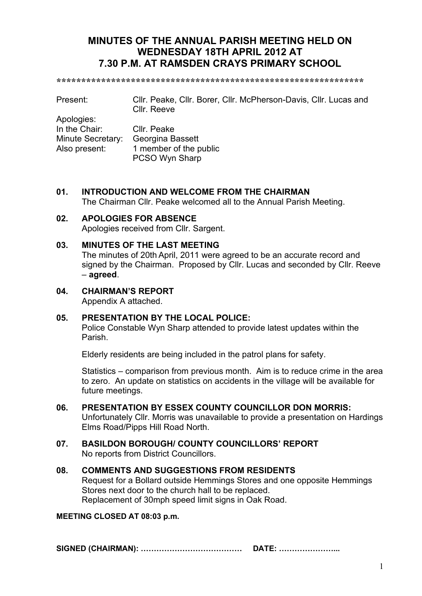# **MINUTES OF THE ANNUAL PARISH MEETING HELD ON WEDNESDAY 18TH APRIL 2012 AT 7.30 P.M. AT RAMSDEN CRAYS PRIMARY SCHOOL**

**\*\*\*\*\*\*\*\*\*\*\*\*\*\*\*\*\*\*\*\*\*\*\*\*\*\*\*\*\*\*\*\*\*\*\*\*\*\*\*\*\*\*\*\*\*\*\*\*\*\*\*\*\*\*\*\*\*\*\*\*\*\*** 

Present: Cllr. Peake, Cllr. Borer, Cllr. McPherson-Davis, Cllr. Lucas and Cllr. Reeve

Apologies: In the Chair: Cllr. Peake Minute Secretary: Georgina Bassett Also present: 1 member of the public PCSO Wyn Sharp

# **01. INTRODUCTION AND WELCOME FROM THE CHAIRMAN**

The Chairman Cllr. Peake welcomed all to the Annual Parish Meeting.

# **02. APOLOGIES FOR ABSENCE**

Apologies received from Cllr. Sargent.

# **03. MINUTES OF THE LAST MEETING**

The minutes of 20th April, 2011 were agreed to be an accurate record and signed by the Chairman. Proposed by Cllr. Lucas and seconded by Cllr. Reeve – **agreed**.

**04. CHAIRMAN'S REPORT** Appendix A attached.

# **05. PRESENTATION BY THE LOCAL POLICE:**

Police Constable Wyn Sharp attended to provide latest updates within the Parish.

Elderly residents are being included in the patrol plans for safety.

 Statistics – comparison from previous month. Aim is to reduce crime in the area to zero. An update on statistics on accidents in the village will be available for future meetings.

**06. PRESENTATION BY ESSEX COUNTY COUNCILLOR DON MORRIS:** Unfortunately Cllr. Morris was unavailable to provide a presentation on Hardings Elms Road/Pipps Hill Road North.

#### **07. BASILDON BOROUGH/ COUNTY COUNCILLORS' REPORT** No reports from District Councillors.

#### **08. COMMENTS AND SUGGESTIONS FROM RESIDENTS**  Request for a Bollard outside Hemmings Stores and one opposite Hemmings Stores next door to the church hall to be replaced. Replacement of 30mph speed limit signs in Oak Road.

# **MEETING CLOSED AT 08:03 p.m.**

**SIGNED (CHAIRMAN): ------------- DATE: -------...**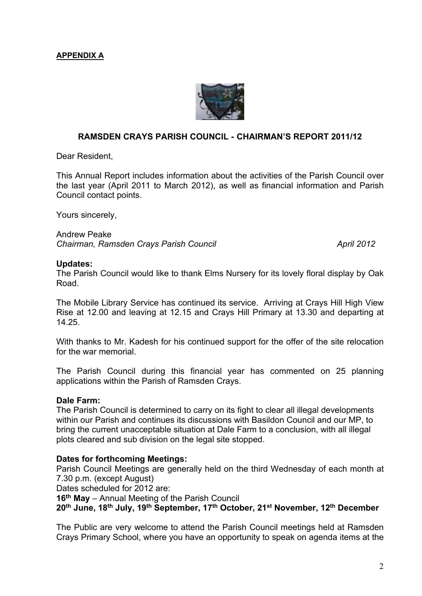# **APPENDIX A**



# **RAMSDEN CRAYS PARISH COUNCIL - CHAIRMAN'S REPORT 2011/12**

Dear Resident,

This Annual Report includes information about the activities of the Parish Council over the last year (April 2011 to March 2012), as well as financial information and Parish Council contact points.

Yours sincerely,

Andrew Peake *Chairman, Ramsden Crays Parish Council April 2012* 

#### **Updates:**

The Parish Council would like to thank Elms Nursery for its lovely floral display by Oak Road.

The Mobile Library Service has continued its service. Arriving at Crays Hill High View Rise at 12.00 and leaving at 12.15 and Crays Hill Primary at 13.30 and departing at 14.25.

With thanks to Mr. Kadesh for his continued support for the offer of the site relocation for the war memorial.

The Parish Council during this financial year has commented on 25 planning applications within the Parish of Ramsden Crays.

#### **Dale Farm:**

The Parish Council is determined to carry on its fight to clear all illegal developments within our Parish and continues its discussions with Basildon Council and our MP, to bring the current unacceptable situation at Dale Farm to a conclusion, with all illegal plots cleared and sub division on the legal site stopped.

#### **Dates for forthcoming Meetings:**

Parish Council Meetings are generally held on the third Wednesday of each month at 7.30 p.m. (except August)

Dates scheduled for 2012 are:

**16th May** – Annual Meeting of the Parish Council

**20th June, 18th July, 19th September, 17th October, 21st November, 12th December** 

The Public are very welcome to attend the Parish Council meetings held at Ramsden Crays Primary School, where you have an opportunity to speak on agenda items at the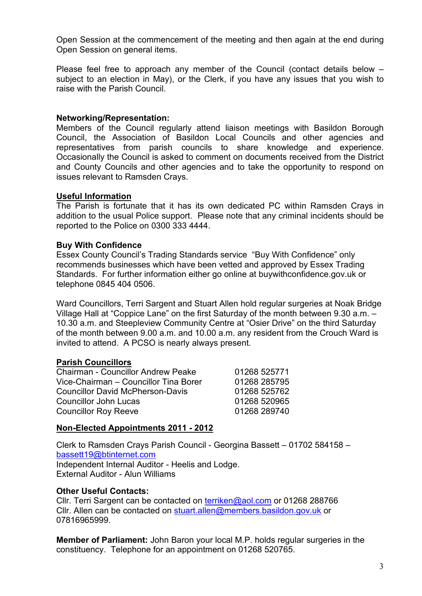Open Session at the commencement of the meeting and then again at the end during Open Session on general items.

Please feel free to approach any member of the Council (contact details below – subject to an election in May), or the Clerk, if you have any issues that you wish to raise with the Parish Council.

### **Networking/Representation:**

Members of the Council regularly attend liaison meetings with Basildon Borough Council, the Association of Basildon Local Councils and other agencies and representatives from parish councils to share knowledge and experience. Occasionally the Council is asked to comment on documents received from the District and County Councils and other agencies and to take the opportunity to respond on issues relevant to Ramsden Crays.

#### **Useful Information**

The Parish is fortunate that it has its own dedicated PC within Ramsden Crays in addition to the usual Police support. Please note that any criminal incidents should be reported to the Police on 0300 333 4444.

#### **Buy With Confidence**

Essex County Council's Trading Standards service "Buy With Confidence" only recommends businesses which have been vetted and approved by Essex Trading Standards. For further information either go online at buywithconfidence.gov.uk or telephone 0845 404 0506.

Ward Councillors, Terri Sargent and Stuart Allen hold regular surgeries at Noak Bridge Village Hall at "Coppice Lane" on the first Saturday of the month between 9.30 a.m. – 10.30 a.m. and Steepleview Community Centre at "Osier Drive" on the third Saturday of the month between 9.00 a.m. and 10.00 a.m. any resident from the Crouch Ward is invited to attend. A PCSO is nearly always present.

# **Parish Councillors**

| <b>Chairman - Councillor Andrew Peake</b> | 01268 525771 |
|-------------------------------------------|--------------|
| Vice-Chairman - Councillor Tina Borer     | 01268 285795 |
| <b>Councillor David McPherson-Davis</b>   | 01268 525762 |
| <b>Councillor John Lucas</b>              | 01268 520965 |
| <b>Councillor Roy Reeve</b>               | 01268 289740 |

# **Non-Elected Appointments 2011 - 2012**

Clerk to Ramsden Crays Parish Council - Georgina Bassett – 01702 584158 – bassett19@btinternet.com Independent Internal Auditor - Heelis and Lodge. External Auditor - Alun Williams

#### **Other Useful Contacts:**

Cllr. Terri Sargent can be contacted on terriken@aol.com or 01268 288766 Cllr. Allen can be contacted on stuart.allen@members.basildon.gov.uk or 07816965999.

**Member of Parliament:** John Baron your local M.P. holds regular surgeries in the constituency. Telephone for an appointment on 01268 520765.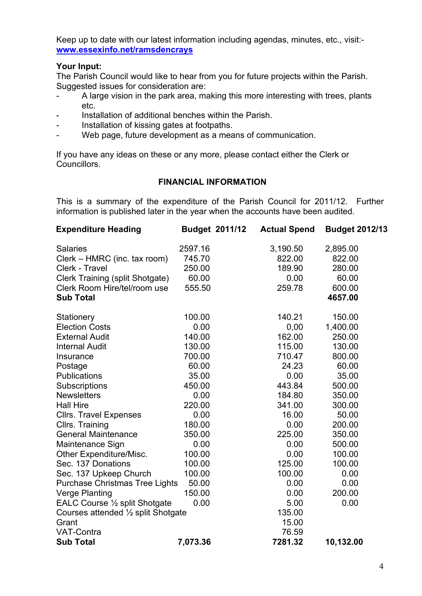Keep up to date with our latest information including agendas, minutes, etc., visit: **www.essexinfo.net/ramsdencrays**

# **Your Input:**

The Parish Council would like to hear from you for future projects within the Parish. Suggested issues for consideration are:

- A large vision in the park area, making this more interesting with trees, plants etc.
- Installation of additional benches within the Parish.
- Installation of kissing gates at footpaths.
- Web page, future development as a means of communication.

If you have any ideas on these or any more, please contact either the Clerk or Councillors.

# **FINANCIAL INFORMATION**

This is a summary of the expenditure of the Parish Council for 2011/12. Further information is published later in the year when the accounts have been audited.

| <b>Expenditure Heading</b>            | <b>Budget 2011/12</b> | <b>Actual Spend</b> | <b>Budget 2012/13</b> |
|---------------------------------------|-----------------------|---------------------|-----------------------|
| <b>Salaries</b>                       | 2597.16               | 3,190.50            | 2,895.00              |
| Clerk – HMRC (inc. tax room)          | 745.70                | 822.00              | 822.00                |
| Clerk - Travel                        | 250.00                | 189.90              | 280.00                |
| Clerk Training (split Shotgate)       | 60.00                 | 0.00                | 60.00                 |
| Clerk Room Hire/tel/room use          | 555.50                | 259.78              | 600.00                |
| <b>Sub Total</b>                      |                       |                     | 4657.00               |
| Stationery                            | 100.00                | 140.21              | 150.00                |
| <b>Election Costs</b>                 | 0.00                  | 0,00                | 1,400.00              |
| <b>External Audit</b>                 | 140.00                | 162.00              | 250.00                |
| <b>Internal Audit</b>                 | 130.00                | 115.00              | 130.00                |
| Insurance                             | 700.00                | 710.47              | 800.00                |
| Postage                               | 60.00                 | 24.23               | 60.00                 |
| Publications                          | 35.00                 | 0.00                | 35.00                 |
| <b>Subscriptions</b>                  | 450.00                | 443.84              | 500.00                |
| <b>Newsletters</b>                    | 0.00                  | 184.80              | 350.00                |
| <b>Hall Hire</b>                      | 220.00                | 341.00              | 300.00                |
| <b>Cllrs. Travel Expenses</b>         | 0.00                  | 16.00               | 50.00                 |
| Cllrs. Training                       | 180.00                | 0.00                | 200.00                |
| <b>General Maintenance</b>            | 350.00                | 225.00              | 350.00                |
| Maintenance Sign                      | 0.00                  | 0.00                | 500.00                |
| Other Expenditure/Misc.               | 100.00                | 0.00                | 100.00                |
| Sec. 137 Donations                    | 100.00                | 125.00              | 100.00                |
| Sec. 137 Upkeep Church                | 100.00                | 100.00              | 0.00                  |
| <b>Purchase Christmas Tree Lights</b> | 50.00                 | 0.00                | 0.00                  |
| <b>Verge Planting</b>                 | 150.00                | 0.00                | 200.00                |
| EALC Course 1/2 split Shotgate        | 0.00                  | 5.00                | 0.00                  |
| Courses attended 1/2 split Shotgate   |                       | 135.00              |                       |
| Grant                                 |                       | 15.00               |                       |
| <b>VAT-Contra</b>                     |                       | 76.59               |                       |
| <b>Sub Total</b>                      | 7,073.36              | 7281.32             | 10,132.00             |